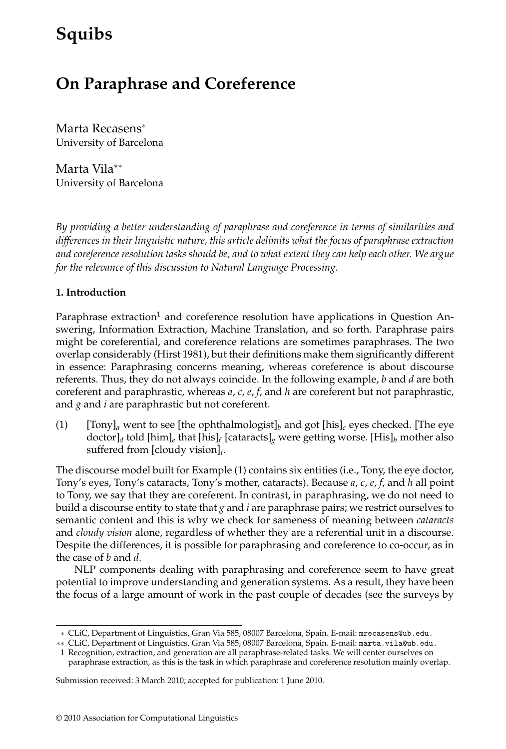# **Squibs**

# **On Paraphrase and Coreference**

Marta Recasens<sup>∗</sup> University of Barcelona

Marta Vila∗∗ University of Barcelona

*By providing a better understanding of paraphrase and coreference in terms of similarities and differences in their linguistic nature, this article delimits what the focus of paraphrase extraction and coreference resolution tasks should be, and to what extent they can help each other. We argue for the relevance of this discussion to Natural Language Processing.*

## **1. Introduction**

Paraphrase extraction<sup>1</sup> and coreference resolution have applications in Question Answering, Information Extraction, Machine Translation, and so forth. Paraphrase pairs might be coreferential, and coreference relations are sometimes paraphrases. The two overlap considerably (Hirst 1981), but their definitions make them significantly different in essence: Paraphrasing concerns meaning, whereas coreference is about discourse referents. Thus, they do not always coincide. In the following example, *b* and *d* are both coreferent and paraphrastic, whereas *a*, *c*, *e*, *f*, and *h* are coreferent but not paraphrastic, and *g* and *i* are paraphrastic but not coreferent.

(1)  $[Tony]_a$  went to see [the ophthalmologist]<sub>b</sub> and got [his]<sub>c</sub> eyes checked. [The eye doctor]*<sup>d</sup>* told [him]*<sup>e</sup>* that [his]*<sup>f</sup>* [cataracts]*<sup>g</sup>* were getting worse. [His]*<sup>h</sup>* mother also suffered from [cloudy vision]*i*.

The discourse model built for Example (1) contains six entities (i.e., Tony, the eye doctor, Tony's eyes, Tony's cataracts, Tony's mother, cataracts). Because *a*, *c*, *e*, *f*, and *h* all point to Tony, we say that they are coreferent. In contrast, in paraphrasing, we do not need to build a discourse entity to state that *g* and *i* are paraphrase pairs; we restrict ourselves to semantic content and this is why we check for sameness of meaning between *cataracts* and *cloudy vision* alone, regardless of whether they are a referential unit in a discourse. Despite the differences, it is possible for paraphrasing and coreference to co-occur, as in the case of *b* and *d*.

NLP components dealing with paraphrasing and coreference seem to have great potential to improve understanding and generation systems. As a result, they have been the focus of a large amount of work in the past couple of decades (see the surveys by

Submission received: 3 March 2010; accepted for publication: 1 June 2010.

<sup>∗</sup> CLiC, Department of Linguistics, Gran Via 585, 08007 Barcelona, Spain. E-mail: mrecasens@ub.edu.

<sup>∗∗</sup> CLiC, Department of Linguistics, Gran Via 585, 08007 Barcelona, Spain. E-mail: marta.vila@ub.edu.

<sup>1</sup> Recognition, extraction, and generation are all paraphrase-related tasks. We will center ourselves on paraphrase extraction, as this is the task in which paraphrase and coreference resolution mainly overlap.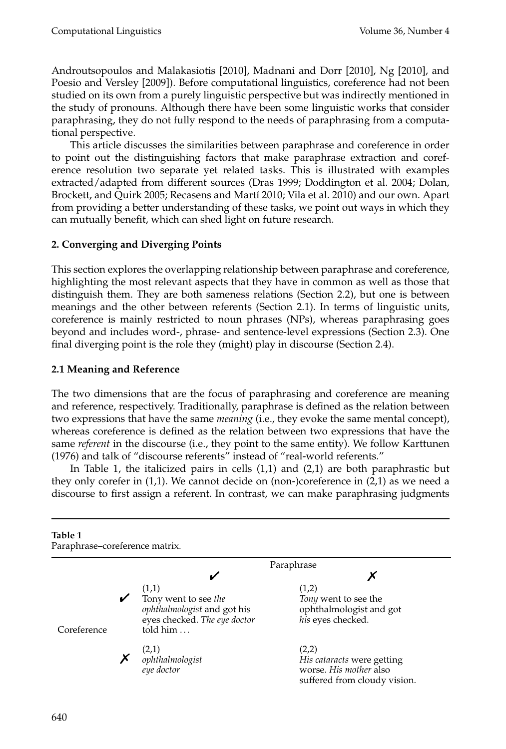Androutsopoulos and Malakasiotis [2010], Madnani and Dorr [2010], Ng [2010], and Poesio and Versley [2009]). Before computational linguistics, coreference had not been studied on its own from a purely linguistic perspective but was indirectly mentioned in the study of pronouns. Although there have been some linguistic works that consider paraphrasing, they do not fully respond to the needs of paraphrasing from a computational perspective.

This article discusses the similarities between paraphrase and coreference in order to point out the distinguishing factors that make paraphrase extraction and coreference resolution two separate yet related tasks. This is illustrated with examples extracted/adapted from different sources (Dras 1999; Doddington et al. 2004; Dolan, Brockett, and Quirk 2005; Recasens and Martí 2010; Vila et al. 2010) and our own. Apart from providing a better understanding of these tasks, we point out ways in which they can mutually benefit, which can shed light on future research.

# **2. Converging and Diverging Points**

This section explores the overlapping relationship between paraphrase and coreference, highlighting the most relevant aspects that they have in common as well as those that distinguish them. They are both sameness relations (Section 2.2), but one is between meanings and the other between referents (Section 2.1). In terms of linguistic units, coreference is mainly restricted to noun phrases (NPs), whereas paraphrasing goes beyond and includes word-, phrase- and sentence-level expressions (Section 2.3). One final diverging point is the role they (might) play in discourse (Section 2.4).

# **2.1 Meaning and Reference**

The two dimensions that are the focus of paraphrasing and coreference are meaning and reference, respectively. Traditionally, paraphrase is defined as the relation between two expressions that have the same *meaning* (i.e., they evoke the same mental concept), whereas coreference is defined as the relation between two expressions that have the same *referent* in the discourse (i.e., they point to the same entity). We follow Karttunen (1976) and talk of "discourse referents" instead of "real-world referents."

In Table 1, the italicized pairs in cells  $(1,1)$  and  $(2,1)$  are both paraphrastic but they only corefer in (1,1). We cannot decide on (non-)coreference in (2,1) as we need a discourse to first assign a referent. In contrast, we can make paraphrasing judgments

| Table 1<br>Paraphrase-coreference matrix. |                                                                                                                                  |                                                                                               |  |
|-------------------------------------------|----------------------------------------------------------------------------------------------------------------------------------|-----------------------------------------------------------------------------------------------|--|
|                                           |                                                                                                                                  | Paraphrase                                                                                    |  |
|                                           |                                                                                                                                  |                                                                                               |  |
| Coreference                               | (1,1)<br>$\checkmark$<br>Tony went to see the<br>ophthalmologist and got his<br>eyes checked. The eye doctor<br>told $him \dots$ | (1,2)<br>Tony went to see the<br>ophthalmologist and got<br>his eyes checked.                 |  |
|                                           | $\chi$ (2,1)<br>ophthalmologist<br>eye doctor                                                                                    | (2,2)<br>His cataracts were getting<br>worse. His mother also<br>suffered from cloudy vision. |  |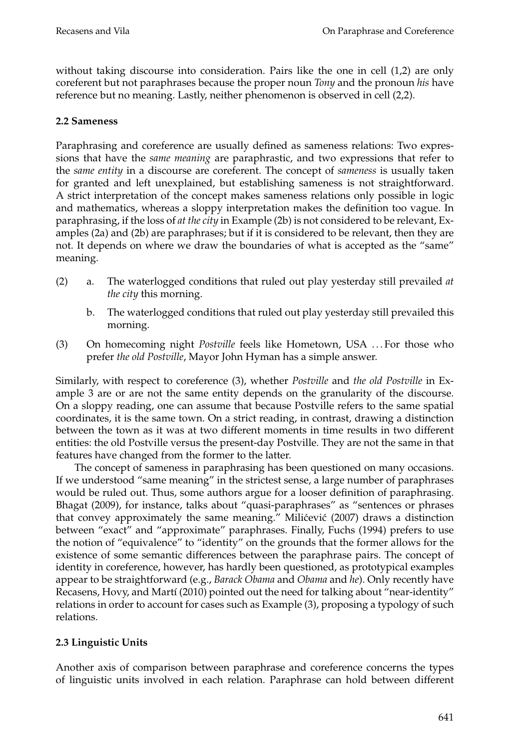without taking discourse into consideration. Pairs like the one in cell  $(1,2)$  are only coreferent but not paraphrases because the proper noun *Tony* and the pronoun *his* have reference but no meaning. Lastly, neither phenomenon is observed in cell (2,2).

### **2.2 Sameness**

Paraphrasing and coreference are usually defined as sameness relations: Two expressions that have the *same meaning* are paraphrastic, and two expressions that refer to the *same entity* in a discourse are coreferent. The concept of *sameness* is usually taken for granted and left unexplained, but establishing sameness is not straightforward. A strict interpretation of the concept makes sameness relations only possible in logic and mathematics, whereas a sloppy interpretation makes the definition too vague. In paraphrasing, if the loss of *at the city* in Example (2b) is not considered to be relevant, Examples (2a) and (2b) are paraphrases; but if it is considered to be relevant, then they are not. It depends on where we draw the boundaries of what is accepted as the "same" meaning.

- (2) a. The waterlogged conditions that ruled out play yesterday still prevailed *at the city* this morning.
	- b. The waterlogged conditions that ruled out play yesterday still prevailed this morning.
- (3) On homecoming night *Postville* feels like Hometown, USA . . . For those who prefer *the old Postville*, Mayor John Hyman has a simple answer.

Similarly, with respect to coreference (3), whether *Postville* and *the old Postville* in Example 3 are or are not the same entity depends on the granularity of the discourse. On a sloppy reading, one can assume that because Postville refers to the same spatial coordinates, it is the same town. On a strict reading, in contrast, drawing a distinction between the town as it was at two different moments in time results in two different entities: the old Postville versus the present-day Postville. They are not the same in that features have changed from the former to the latter.

The concept of sameness in paraphrasing has been questioned on many occasions. If we understood "same meaning" in the strictest sense, a large number of paraphrases would be ruled out. Thus, some authors argue for a looser definition of paraphrasing. Bhagat (2009), for instance, talks about "quasi-paraphrases" as "sentences or phrases that convey approximately the same meaning." Milićević (2007) draws a distinction between "exact" and "approximate" paraphrases. Finally, Fuchs (1994) prefers to use the notion of "equivalence" to "identity" on the grounds that the former allows for the existence of some semantic differences between the paraphrase pairs. The concept of identity in coreference, however, has hardly been questioned, as prototypical examples appear to be straightforward (e.g., *Barack Obama* and *Obama* and *he*). Only recently have Recasens, Hovy, and Martí (2010) pointed out the need for talking about "near-identity" relations in order to account for cases such as Example (3), proposing a typology of such relations.

# **2.3 Linguistic Units**

Another axis of comparison between paraphrase and coreference concerns the types of linguistic units involved in each relation. Paraphrase can hold between different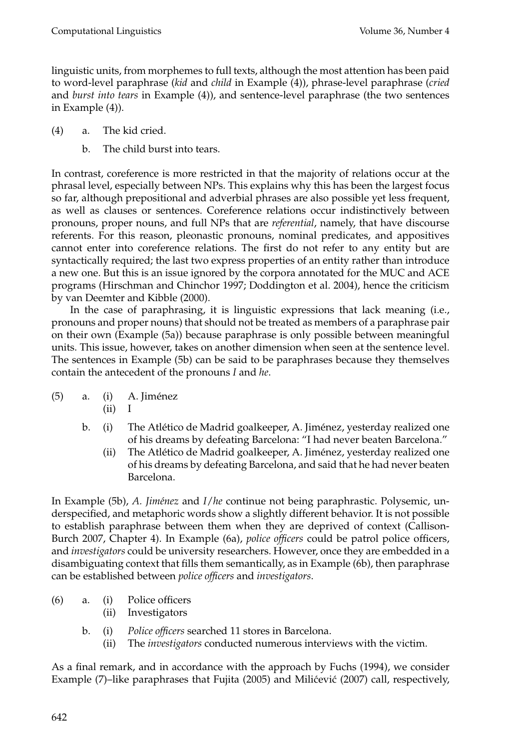linguistic units, from morphemes to full texts, although the most attention has been paid to word-level paraphrase (*kid* and *child* in Example (4)), phrase-level paraphrase (*cried* and *burst into tears* in Example (4)), and sentence-level paraphrase (the two sentences in Example (4)).

- (4) a. The kid cried.
	- b. The child burst into tears.

In contrast, coreference is more restricted in that the majority of relations occur at the phrasal level, especially between NPs. This explains why this has been the largest focus so far, although prepositional and adverbial phrases are also possible yet less frequent, as well as clauses or sentences. Coreference relations occur indistinctively between pronouns, proper nouns, and full NPs that are *referential*, namely, that have discourse referents. For this reason, pleonastic pronouns, nominal predicates, and appositives cannot enter into coreference relations. The first do not refer to any entity but are syntactically required; the last two express properties of an entity rather than introduce a new one. But this is an issue ignored by the corpora annotated for the MUC and ACE programs (Hirschman and Chinchor 1997; Doddington et al. 2004), hence the criticism by van Deemter and Kibble (2000).

In the case of paraphrasing, it is linguistic expressions that lack meaning (i.e., pronouns and proper nouns) that should not be treated as members of a paraphrase pair on their own (Example (5a)) because paraphrase is only possible between meaningful units. This issue, however, takes on another dimension when seen at the sentence level. The sentences in Example (5b) can be said to be paraphrases because they themselves contain the antecedent of the pronouns *I* and *he*.

- $(5)$  a.  $(i)$  A. Jiménez
	- (ii) I
	- b. (i) The Atlético de Madrid goalkeeper, A. Jiménez, yesterday realized one of his dreams by defeating Barcelona: "Ihad never beaten Barcelona."
		- (ii) The Atlético de Madrid goalkeeper, A. Jiménez, yesterday realized one of his dreams by defeating Barcelona, and said that he had never beaten Barcelona.

In Example (5b), *A. Jim´enez* and *I*/*he* continue not being paraphrastic. Polysemic, underspecified, and metaphoric words show a slightly different behavior. It is not possible to establish paraphrase between them when they are deprived of context (Callison-Burch 2007, Chapter 4). In Example (6a), *police officers* could be patrol police officers, and *investigators* could be university researchers. However, once they are embedded in a disambiguating context that fills them semantically, as in Example (6b), then paraphrase can be established between *police officers* and *investigators*.

- (6) a. (i) Police officers
	- (ii) Investigators
	- b. (i) *Police officers* searched 11 stores in Barcelona.
		- (ii) The *investigators* conducted numerous interviews with the victim.

As a final remark, and in accordance with the approach by Fuchs (1994), we consider Example (7)–like paraphrases that Fujita (2005) and Milićević (2007) call, respectively,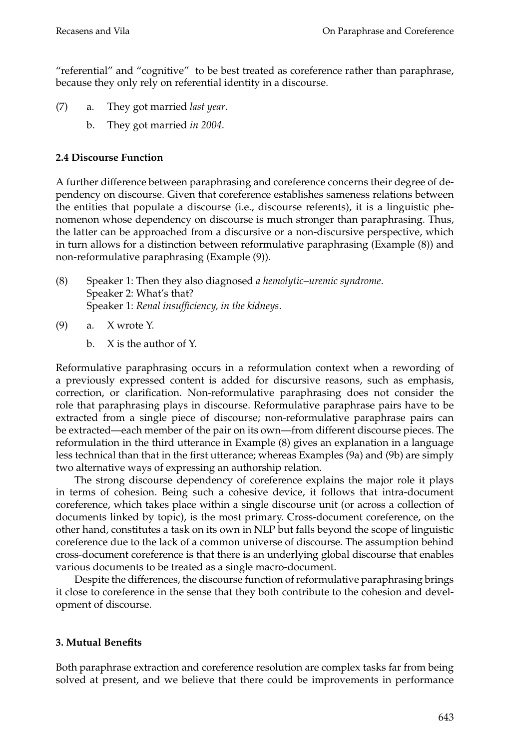"referential" and "cognitive" to be best treated as coreference rather than paraphrase, because they only rely on referential identity in a discourse.

- (7) a. They got married *last year*.
	- b. They got married *in 2004*.

#### **2.4 Discourse Function**

A further difference between paraphrasing and coreference concerns their degree of dependency on discourse. Given that coreference establishes sameness relations between the entities that populate a discourse (i.e., discourse referents), it is a linguistic phenomenon whose dependency on discourse is much stronger than paraphrasing. Thus, the latter can be approached from a discursive or a non-discursive perspective, which in turn allows for a distinction between reformulative paraphrasing (Example (8)) and non-reformulative paraphrasing (Example (9)).

- (8) Speaker 1: Then they also diagnosed *a hemolytic–uremic syndrome*. Speaker 2: What's that? Speaker 1: *Renal insufficiency, in the kidneys*.
- (9) a. X wrote Y.
	- b. X is the author of Y.

Reformulative paraphrasing occurs in a reformulation context when a rewording of a previously expressed content is added for discursive reasons, such as emphasis, correction, or clarification. Non-reformulative paraphrasing does not consider the role that paraphrasing plays in discourse. Reformulative paraphrase pairs have to be extracted from a single piece of discourse; non-reformulative paraphrase pairs can be extracted—each member of the pair on its own—from different discourse pieces. The reformulation in the third utterance in Example (8) gives an explanation in a language less technical than that in the first utterance; whereas Examples (9a) and (9b) are simply two alternative ways of expressing an authorship relation.

The strong discourse dependency of coreference explains the major role it plays in terms of cohesion. Being such a cohesive device, it follows that intra-document coreference, which takes place within a single discourse unit (or across a collection of documents linked by topic), is the most primary. Cross-document coreference, on the other hand, constitutes a task on its own in NLP but falls beyond the scope of linguistic coreference due to the lack of a common universe of discourse. The assumption behind cross-document coreference is that there is an underlying global discourse that enables various documents to be treated as a single macro-document.

Despite the differences, the discourse function of reformulative paraphrasing brings it close to coreference in the sense that they both contribute to the cohesion and development of discourse.

## **3. Mutual Benefits**

Both paraphrase extraction and coreference resolution are complex tasks far from being solved at present, and we believe that there could be improvements in performance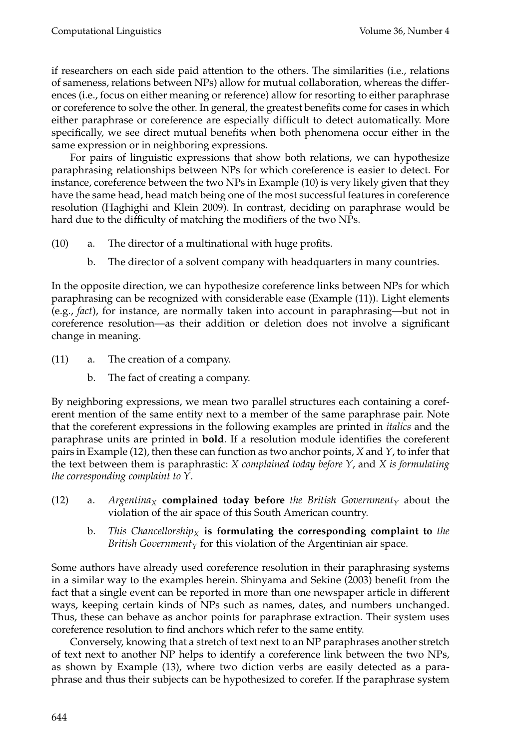if researchers on each side paid attention to the others. The similarities (i.e., relations of sameness, relations between NPs) allow for mutual collaboration, whereas the differences (i.e., focus on either meaning or reference) allow for resorting to either paraphrase or coreference to solve the other. In general, the greatest benefits come for cases in which either paraphrase or coreference are especially difficult to detect automatically. More specifically, we see direct mutual benefits when both phenomena occur either in the same expression or in neighboring expressions.

For pairs of linguistic expressions that show both relations, we can hypothesize paraphrasing relationships between NPs for which coreference is easier to detect. For instance, coreference between the two NPs in Example (10) is very likely given that they have the same head, head match being one of the most successful features in coreference resolution (Haghighi and Klein 2009). In contrast, deciding on paraphrase would be hard due to the difficulty of matching the modifiers of the two NPs.

- (10) a. The director of a multinational with huge profits.
	- b. The director of a solvent company with headquarters in many countries.

In the opposite direction, we can hypothesize coreference links between NPs for which paraphrasing can be recognized with considerable ease (Example (11)). Light elements (e.g., *fact*), for instance, are normally taken into account in paraphrasing—but not in coreference resolution—as their addition or deletion does not involve a significant change in meaning.

- (11) a. The creation of a company.
	- b. The fact of creating a company.

By neighboring expressions, we mean two parallel structures each containing a coreferent mention of the same entity next to a member of the same paraphrase pair. Note that the coreferent expressions in the following examples are printed in *italics* and the paraphrase units are printed in **bold**. If a resolution module identifies the coreferent pairs in Example (12), then these can function as two anchor points, *X* and *Y*, to infer that the text between them is paraphrastic: *X complained today before Y*, and *X is formulating the corresponding complaint to Y*.

- (12) a. *Argentina<sub>X</sub>* **complained today before** *the British Government*<sub>Y</sub> about the violation of the air space of this South American country.
	- b. *This Chancellorship<sub>X</sub>* is formulating the corresponding complaint to *the British Government*  $_Y$  for this violation of the Argentinian air space.

Some authors have already used coreference resolution in their paraphrasing systems in a similar way to the examples herein. Shinyama and Sekine (2003) benefit from the fact that a single event can be reported in more than one newspaper article in different ways, keeping certain kinds of NPs such as names, dates, and numbers unchanged. Thus, these can behave as anchor points for paraphrase extraction. Their system uses coreference resolution to find anchors which refer to the same entity.

Conversely, knowing that a stretch of text next to an NP paraphrases another stretch of text next to another NP helps to identify a coreference link between the two NPs, as shown by Example (13), where two diction verbs are easily detected as a paraphrase and thus their subjects can be hypothesized to corefer. If the paraphrase system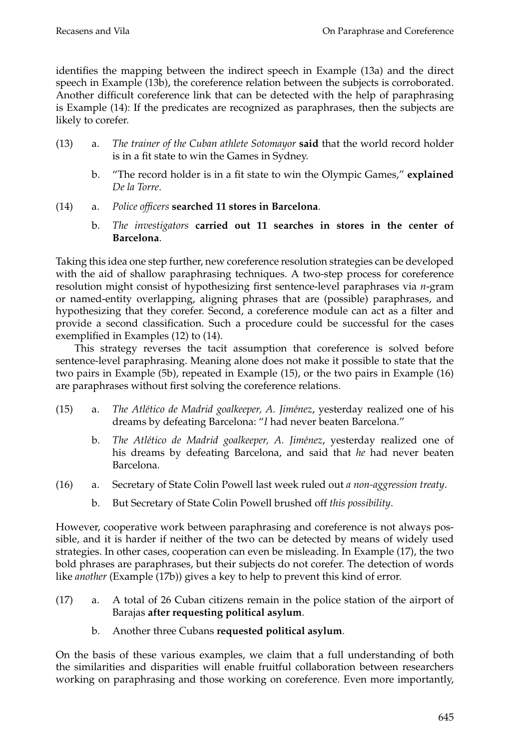identifies the mapping between the indirect speech in Example (13a) and the direct speech in Example (13b), the coreference relation between the subjects is corroborated. Another difficult coreference link that can be detected with the help of paraphrasing is Example (14): If the predicates are recognized as paraphrases, then the subjects are likely to corefer.

- (13) a. *The trainer of the Cuban athlete Sotomayor* **said** that the world record holder is in a fit state to win the Games in Sydney.
	- b. "The record holder is in a fit state to win the Olympic Games," **explained** *De la Torre*.
- (14) a. *Police officers* **searched 11 stores in Barcelona**.
	- b. *The investigators* **carried out 11 searches in stores in the center of Barcelona**.

Taking this idea one step further, new coreference resolution strategies can be developed with the aid of shallow paraphrasing techniques. A two-step process for coreference resolution might consist of hypothesizing first sentence-level paraphrases via *n*-gram or named-entity overlapping, aligning phrases that are (possible) paraphrases, and hypothesizing that they corefer. Second, a coreference module can act as a filter and provide a second classification. Such a procedure could be successful for the cases exemplified in Examples (12) to (14).

This strategy reverses the tacit assumption that coreference is solved before sentence-level paraphrasing. Meaning alone does not make it possible to state that the two pairs in Example (5b), repeated in Example (15), or the two pairs in Example (16) are paraphrases without first solving the coreference relations.

- (15) a. *The Atl´etico de Madrid goalkeeper, A. Jim´enez*, yesterday realized one of his dreams by defeating Barcelona: "*I* had never beaten Barcelona."
	- b. *The Atlético de Madrid goalkeeper, A. Jiménez*, yesterday realized one of his dreams by defeating Barcelona, and said that *he* had never beaten Barcelona.
- (16) a. Secretary of State Colin Powell last week ruled out *a non-aggression treaty*.
	- b. But Secretary of State Colin Powell brushed off *this possibility*.

However, cooperative work between paraphrasing and coreference is not always possible, and it is harder if neither of the two can be detected by means of widely used strategies. In other cases, cooperation can even be misleading. In Example (17), the two bold phrases are paraphrases, but their subjects do not corefer. The detection of words like *another* (Example (17b)) gives a key to help to prevent this kind of error.

- (17) a. A total of 26 Cuban citizens remain in the police station of the airport of Barajas **after requesting political asylum**.
	- b. Another three Cubans **requested political asylum**.

On the basis of these various examples, we claim that a full understanding of both the similarities and disparities will enable fruitful collaboration between researchers working on paraphrasing and those working on coreference. Even more importantly,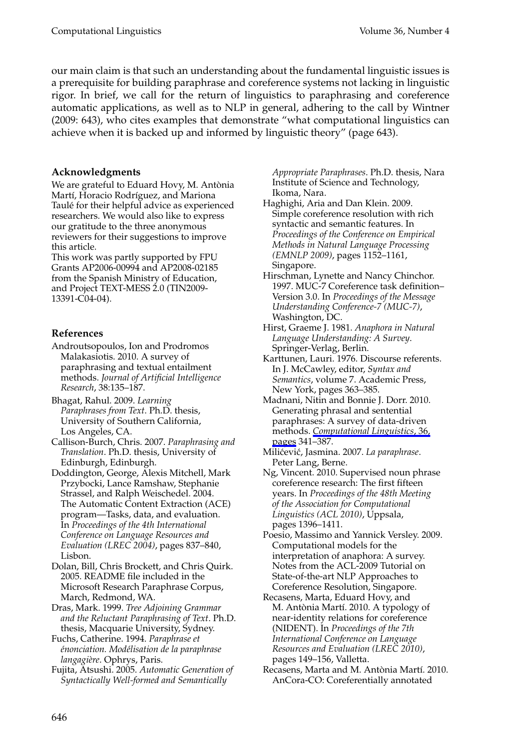Computational Linguistics Volume 36, Number 4

our main claim is that such an understanding about the fundamental linguistic issues is a prerequisite for building paraphrase and coreference systems not lacking in linguistic rigor. In brief, we call for the return of linguistics to paraphrasing and coreference automatic applications, as well as to NLP in general, adhering to the call by Wintner (2009: 643), who cites examples that demonstrate "what computational linguistics can achieve when it is backed up and informed by linguistic theory" (page 643).

#### **Acknowledgments**

We are grateful to Eduard Hovy, M. Antònia Martí, Horacio Rodríguez, and Mariona Taulé for their helpful advice as experienced researchers. We would also like to express our gratitude to the three anonymous reviewers for their suggestions to improve this article.

This work was partly supported by FPU Grants AP2006-00994 and AP2008-02185 from the Spanish Ministry of Education, and Project TEXT-MESS 2.0 (TIN2009- 13391-C04-04).

#### **References**

- Androutsopoulos, Ion and Prodromos Malakasiotis. 2010. A survey of paraphrasing and textual entailment methods. *Journal of Artificial Intelligence Research*, 38:135–187.
- Bhagat, Rahul. 2009. *Learning Paraphrases from Text*. Ph.D. thesis, University of Southern California, Los Angeles, CA.
- Callison-Burch, Chris. 2007. *Paraphrasing and Translation*. Ph.D. thesis, University of Edinburgh, Edinburgh.
- Doddington, George, Alexis Mitchell, Mark Przybocki, Lance Ramshaw, Stephanie Strassel, and Ralph Weischedel. 2004. The Automatic Content Extraction (ACE) program—Tasks, data, and evaluation. In *Proceedings of the 4th International Conference on Language Resources and Evaluation (LREC 2004)*, pages 837–840, Lisbon.
- Dolan, Bill, Chris Brockett, and Chris Quirk. 2005. README file included in the Microsoft Research Paraphrase Corpus, March, Redmond, WA.
- Dras, Mark. 1999. *Tree Adjoining Grammar and the Reluctant Paraphrasing of Text*. Ph.D. thesis, Macquarie University, Sydney.
- Fuchs, Catherine. 1994. *Paraphrase et enonciation. Mod´ ´ elisation de la paraphrase langagi`ere*. Ophrys, Paris.
- Fujita, Atsushi. 2005. *Automatic Generation of Syntactically Well-formed and Semantically*

*Appropriate Paraphrases*. Ph.D. thesis, Nara Institute of Science and Technology, Ikoma, Nara.

- Haghighi, Aria and Dan Klein. 2009. Simple coreference resolution with rich syntactic and semantic features. In *Proceedings of the Conference on Empirical Methods in Natural Language Processing (EMNLP 2009)*, pages 1152–1161, Singapore.
- Hirschman, Lynette and Nancy Chinchor. 1997. MUC-7 Coreference task definition– Version 3.0. In *Proceedings of the Message Understanding Conference-7 (MUC-7)*, Washington, DC.
- Hirst, Graeme J. 1981. *Anaphora in Natural Language Understanding: A Survey*. Springer-Verlag, Berlin.
- Karttunen, Lauri. 1976. Discourse referents. In J. McCawley, editor, *Syntax and Semantics*, volume 7. Academic Press, New York, pages 363–385.
- Madnani, Nitin and Bonnie J. Dorr. 2010. Generating phrasal and sentential paraphrases: A survey of data-driven methods. *Computational Linguistics*, 36, pages 341–387.
- Milićević, Jasmina. 2007. La paraphrase. Peter Lang, Berne.
- Ng, Vincent. 2010. Supervised noun phrase coreference research: The first fifteen years. In *Proceedings of the 48th Meeting of the Association for Computational Linguistics (ACL 2010)*, Uppsala, pages 1396–1411.
- Poesio, Massimo and Yannick Versley. 2009. Computational models for the interpretation of anaphora: A survey. Notes from the ACL-2009 Tutorial on State-of-the-art NLP Approaches to Coreference Resolution, Singapore.
- Recasens, Marta, Eduard Hovy, and M. Antònia Martí. 2010. A typology of near-identity relations for coreference (NIDENT). In *Proceedings of the 7th International Conference on Language Resources and Evaluation (LREC 2010)*, pages 149–156, Valletta.
- Recasens, Marta and M. Antònia Martí. 2010. AnCora-CO: Coreferentially annotated